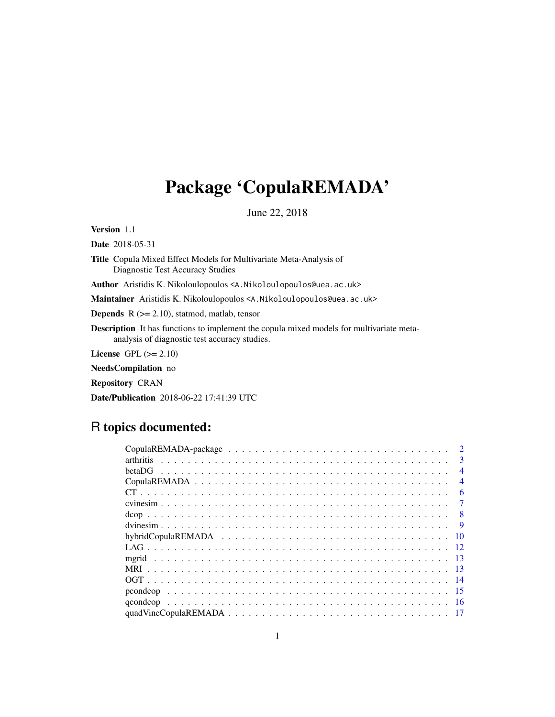# <span id="page-0-0"></span>Package 'CopulaREMADA'

June 22, 2018

Version 1.1

Date 2018-05-31

Title Copula Mixed Effect Models for Multivariate Meta-Analysis of Diagnostic Test Accuracy Studies

Author Aristidis K. Nikoloulopoulos <A.Nikoloulopoulos@uea.ac.uk>

Maintainer Aristidis K. Nikoloulopoulos <A. Nikoloulopoulos@uea.ac.uk>

**Depends**  $R$  ( $>= 2.10$ ), statmod, matlab, tensor

Description It has functions to implement the copula mixed models for multivariate metaanalysis of diagnostic test accuracy studies.

License GPL  $(>= 2.10)$ 

NeedsCompilation no

Repository CRAN

Date/Publication 2018-06-22 17:41:39 UTC

# R topics documented:

| $\mathcal{D}$  |
|----------------|
| $\mathcal{E}$  |
| $\overline{4}$ |
| $\overline{4}$ |
| 6              |
|                |
| - 8            |
| $\overline{Q}$ |
| -10            |
|                |
|                |
|                |
|                |
|                |
| -16            |
|                |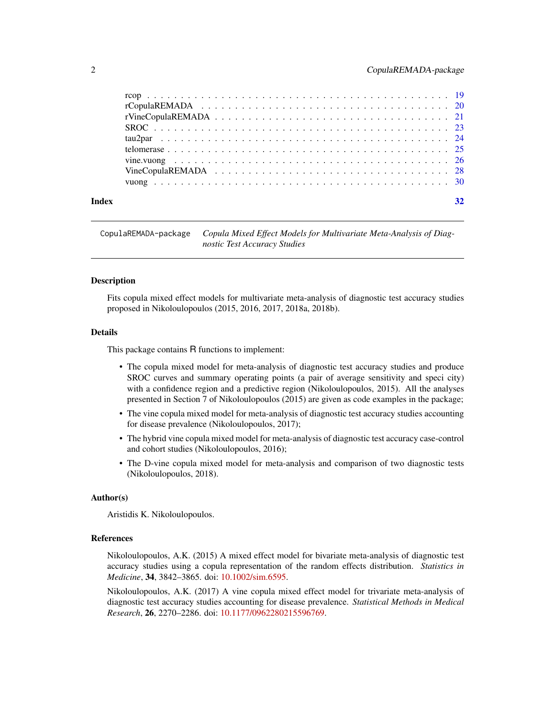<span id="page-1-0"></span>

CopulaREMADA-package *Copula Mixed Effect Models for Multivariate Meta-Analysis of Diagnostic Test Accuracy Studies*

#### Description

Fits copula mixed effect models for multivariate meta-analysis of diagnostic test accuracy studies proposed in Nikoloulopoulos (2015, 2016, 2017, 2018a, 2018b).

#### Details

This package contains R functions to implement:

- The copula mixed model for meta-analysis of diagnostic test accuracy studies and produce SROC curves and summary operating points (a pair of average sensitivity and speci city) with a confidence region and a predictive region (Nikoloulopoulos, 2015). All the analyses presented in Section 7 of Nikoloulopoulos (2015) are given as code examples in the package;
- The vine copula mixed model for meta-analysis of diagnostic test accuracy studies accounting for disease prevalence (Nikoloulopoulos, 2017);
- The hybrid vine copula mixed model for meta-analysis of diagnostic test accuracy case-control and cohort studies (Nikoloulopoulos, 2016);
- The D-vine copula mixed model for meta-analysis and comparison of two diagnostic tests (Nikoloulopoulos, 2018).

#### Author(s)

Aristidis K. Nikoloulopoulos.

# References

Nikoloulopoulos, A.K. (2015) A mixed effect model for bivariate meta-analysis of diagnostic test accuracy studies using a copula representation of the random effects distribution. *Statistics in Medicine*, 34, 3842–3865. doi: [10.1002/sim.6595.](http://doi.org/10.1002/sim.6595)

Nikoloulopoulos, A.K. (2017) A vine copula mixed effect model for trivariate meta-analysis of diagnostic test accuracy studies accounting for disease prevalence. *Statistical Methods in Medical Research*, 26, 2270–2286. doi: [10.1177/0962280215596769.](http://doi.org/10.1177/0962280215596769)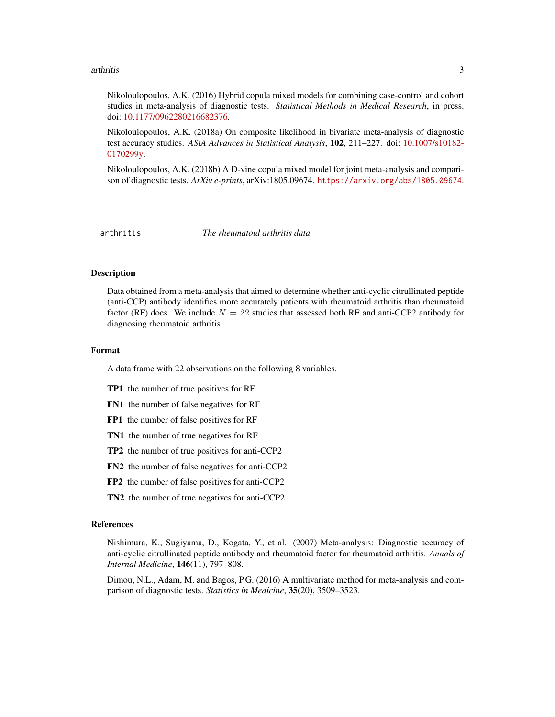#### <span id="page-2-0"></span>arthritis 3

Nikoloulopoulos, A.K. (2016) Hybrid copula mixed models for combining case-control and cohort studies in meta-analysis of diagnostic tests. *Statistical Methods in Medical Research*, in press. doi: [10.1177/0962280216682376.](http://doi.org/10.1177/0962280216682376)

Nikoloulopoulos, A.K. (2018a) On composite likelihood in bivariate meta-analysis of diagnostic test accuracy studies. *AStA Advances in Statistical Analysis*, 102, 211–227. doi: [10.1007/s10182-](http://doi.org/10.1007/s10182-017-0299-y) [0170299y.](http://doi.org/10.1007/s10182-017-0299-y)

Nikoloulopoulos, A.K. (2018b) A D-vine copula mixed model for joint meta-analysis and comparison of diagnostic tests. *ArXiv e-prints*, arXiv:1805.09674. <https://arxiv.org/abs/1805.09674>.

arthritis *The rheumatoid arthritis data*

# Description

Data obtained from a meta-analysis that aimed to determine whether anti-cyclic citrullinated peptide (anti-CCP) antibody identifies more accurately patients with rheumatoid arthritis than rheumatoid factor (RF) does. We include  $N = 22$  studies that assessed both RF and anti-CCP2 antibody for diagnosing rheumatoid arthritis.

#### Format

A data frame with 22 observations on the following 8 variables.

- TP1 the number of true positives for RF
- FN1 the number of false negatives for RF
- FP1 the number of false positives for RF
- TN1 the number of true negatives for RF
- TP2 the number of true positives for anti-CCP2
- FN2 the number of false negatives for anti-CCP2
- FP2 the number of false positives for anti-CCP2
- TN2 the number of true negatives for anti-CCP2

#### References

Nishimura, K., Sugiyama, D., Kogata, Y., et al. (2007) Meta-analysis: Diagnostic accuracy of anti-cyclic citrullinated peptide antibody and rheumatoid factor for rheumatoid arthritis. *Annals of Internal Medicine*, 146(11), 797–808.

Dimou, N.L., Adam, M. and Bagos, P.G. (2016) A multivariate method for meta-analysis and comparison of diagnostic tests. *Statistics in Medicine*, 35(20), 3509–3523.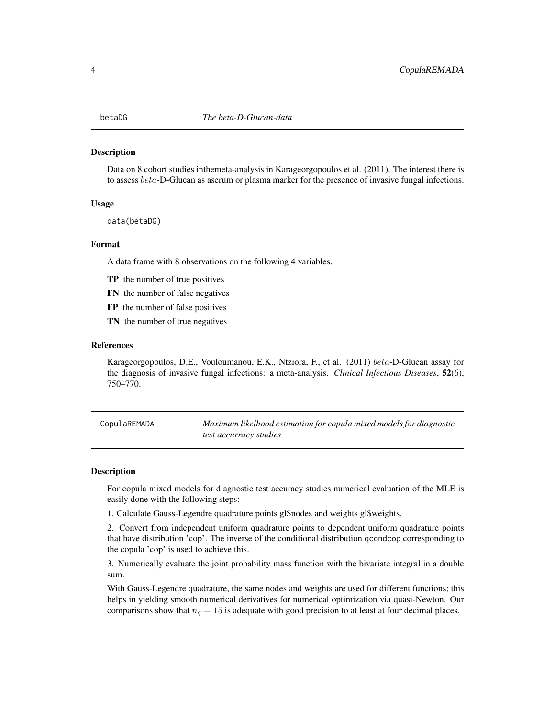<span id="page-3-0"></span>Data on 8 cohort studies inthemeta-analysis in Karageorgopoulos et al. (2011). The interest there is to assess *beta-*D-Glucan as aserum or plasma marker for the presence of invasive fungal infections.

#### Usage

data(betaDG)

#### Format

A data frame with 8 observations on the following 4 variables.

- TP the number of true positives
- FN the number of false negatives
- FP the number of false positives
- TN the number of true negatives

#### References

Karageorgopoulos, D.E., Vouloumanou, E.K., Ntziora, F., et al. (2011) beta-D-Glucan assay for the diagnosis of invasive fungal infections: a meta-analysis. *Clinical Infectious Diseases*, 52(6), 750–770.

<span id="page-3-1"></span>CopulaREMADA *Maximum likelhood estimation for copula mixed models for diagnostic test accurracy studies*

#### Description

For copula mixed models for diagnostic test accuracy studies numerical evaluation of the MLE is easily done with the following steps:

1. Calculate Gauss-Legendre quadrature points gl\$nodes and weights gl\$weights.

2. Convert from independent uniform quadrature points to dependent uniform quadrature points that have distribution 'cop'. The inverse of the conditional distribution qcondcop corresponding to the copula 'cop' is used to achieve this.

3. Numerically evaluate the joint probability mass function with the bivariate integral in a double sum.

With Gauss-Legendre quadrature, the same nodes and weights are used for different functions; this helps in yielding smooth numerical derivatives for numerical optimization via quasi-Newton. Our comparisons show that  $n_q = 15$  is adequate with good precision to at least at four decimal places.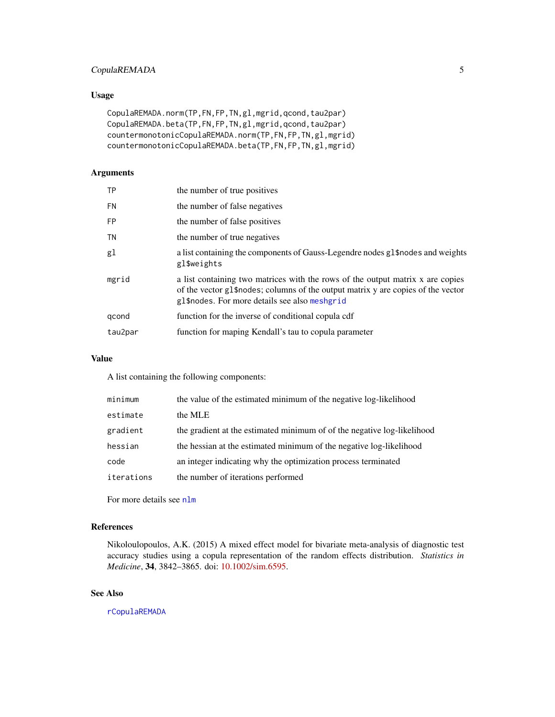# <span id="page-4-0"></span>CopulaREMADA 5

# Usage

```
CopulaREMADA.norm(TP,FN,FP,TN,gl,mgrid,qcond,tau2par)
CopulaREMADA.beta(TP,FN,FP,TN,gl,mgrid,qcond,tau2par)
countermonotonicCopulaREMADA.norm(TP,FN,FP,TN,gl,mgrid)
countermonotonicCopulaREMADA.beta(TP,FN,FP,TN,gl,mgrid)
```
# Arguments

| <b>TP</b> | the number of true positives                                                                                                                                                                                         |
|-----------|----------------------------------------------------------------------------------------------------------------------------------------------------------------------------------------------------------------------|
| FN        | the number of false negatives                                                                                                                                                                                        |
| <b>FP</b> | the number of false positives                                                                                                                                                                                        |
| TN        | the number of true negatives                                                                                                                                                                                         |
| gl        | a list containing the components of Gauss-Legendre nodes gl\$nodes and weights<br>gl\$weights                                                                                                                        |
| mgrid     | a list containing two matrices with the rows of the output matrix x are copies<br>of the vector g1\$ nodes; columns of the output matrix y are copies of the vector<br>gl\$nodes. For more details see also meshgrid |
| gcond     | function for the inverse of conditional copula cdf                                                                                                                                                                   |
| tau2par   | function for maping Kendall's tau to copula parameter                                                                                                                                                                |

#### Value

A list containing the following components:

| minimum    | the value of the estimated minimum of the negative log-likelihood       |
|------------|-------------------------------------------------------------------------|
| estimate   | the MLE                                                                 |
| gradient   | the gradient at the estimated minimum of of the negative log-likelihood |
| hessian    | the hessian at the estimated minimum of the negative log-likelihood     |
| code       | an integer indicating why the optimization process terminated           |
| iterations | the number of iterations performed                                      |

For more details see [nlm](#page-0-0)

# References

Nikoloulopoulos, A.K. (2015) A mixed effect model for bivariate meta-analysis of diagnostic test accuracy studies using a copula representation of the random effects distribution. *Statistics in Medicine*, 34, 3842–3865. doi: [10.1002/sim.6595.](http://doi.org/10.1002/sim.6595)

# See Also

[rCopulaREMADA](#page-19-1)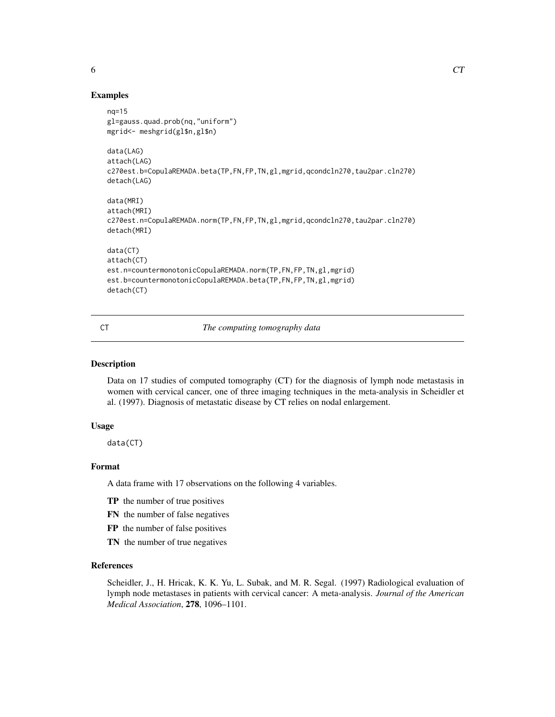#### Examples

```
nq=15
gl=gauss.quad.prob(nq,"uniform")
mgrid<- meshgrid(gl$n,gl$n)
data(LAG)
attach(LAG)
c270est.b=CopulaREMADA.beta(TP,FN,FP,TN,gl,mgrid,qcondcln270,tau2par.cln270)
detach(LAG)
data(MRI)
attach(MRI)
c270est.n=CopulaREMADA.norm(TP,FN,FP,TN,gl,mgrid,qcondcln270,tau2par.cln270)
detach(MRI)
data(CT)
attach(CT)
est.n=countermonotonicCopulaREMADA.norm(TP,FN,FP,TN,gl,mgrid)
est.b=countermonotonicCopulaREMADA.beta(TP,FN,FP,TN,gl,mgrid)
detach(CT)
```
CT *The computing tomography data*

# **Description**

Data on 17 studies of computed tomography (CT) for the diagnosis of lymph node metastasis in women with cervical cancer, one of three imaging techniques in the meta-analysis in Scheidler et al. (1997). Diagnosis of metastatic disease by CT relies on nodal enlargement.

#### Usage

data(CT)

#### Format

A data frame with 17 observations on the following 4 variables.

- TP the number of true positives
- FN the number of false negatives
- FP the number of false positives
- TN the number of true negatives

# References

Scheidler, J., H. Hricak, K. K. Yu, L. Subak, and M. R. Segal. (1997) Radiological evaluation of lymph node metastases in patients with cervical cancer: A meta-analysis. *Journal of the American Medical Association*, 278, 1096–1101.

<span id="page-5-0"></span>6 CT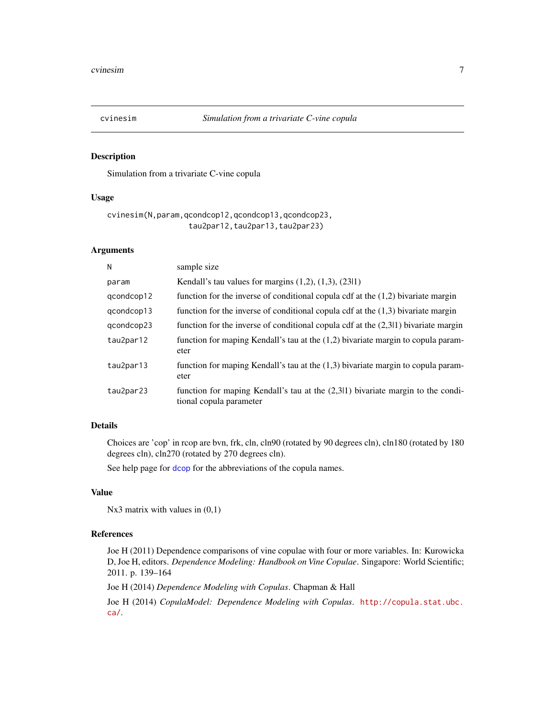<span id="page-6-1"></span><span id="page-6-0"></span>

Simulation from a trivariate C-vine copula

#### Usage

```
cvinesim(N,param,qcondcop12,qcondcop13,qcondcop23,
                  tau2par12,tau2par13,tau2par23)
```
#### Arguments

| sample size                                                                                                |
|------------------------------------------------------------------------------------------------------------|
| Kendall's tau values for margins $(1,2)$ , $(1,3)$ , $(23 1)$                                              |
| function for the inverse of conditional copula cdf at the $(1,2)$ bivariate margin                         |
| function for the inverse of conditional copula cdf at the $(1,3)$ bivariate margin                         |
| function for the inverse of conditional copula cdf at the $(2,311)$ bivariate margin                       |
| function for maping Kendall's tau at the $(1,2)$ bivariate margin to copula param-<br>eter                 |
| function for maping Kendall's tau at the $(1,3)$ bivariate margin to copula param-<br>eter                 |
| function for maping Kendall's tau at the (2,311) bivariate margin to the condi-<br>tional copula parameter |
|                                                                                                            |

#### Details

Choices are 'cop' in rcop are bvn, frk, cln, cln90 (rotated by 90 degrees cln), cln180 (rotated by 180 degrees cln), cln270 (rotated by 270 degrees cln).

See help page for [dcop](#page-7-1) for the abbreviations of the copula names.

# Value

```
Nx3 matrix with values in (0,1)
```
# References

Joe H (2011) Dependence comparisons of vine copulae with four or more variables. In: Kurowicka D, Joe H, editors. *Dependence Modeling: Handbook on Vine Copulae*. Singapore: World Scientific; 2011. p. 139–164

Joe H (2014) *Dependence Modeling with Copulas*. Chapman & Hall

Joe H (2014) *CopulaModel: Dependence Modeling with Copulas*. [http://copula.stat.ubc.](http://copula.stat.ubc.ca/) [ca/](http://copula.stat.ubc.ca/).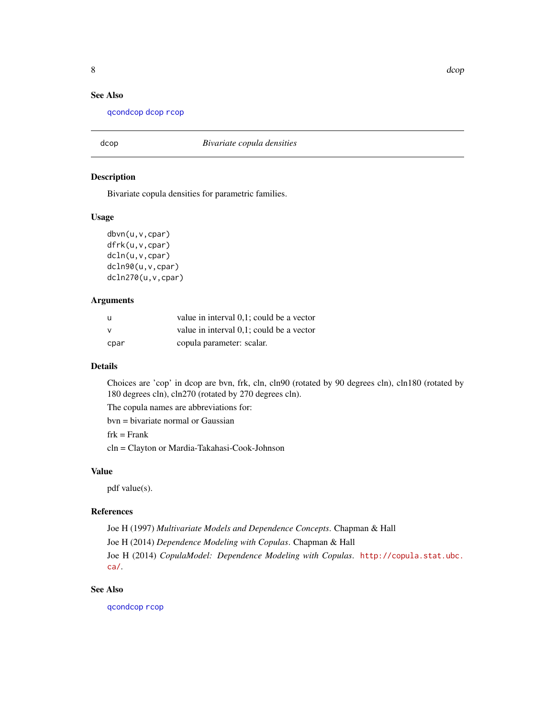# <span id="page-7-0"></span>See Also

[qcondcop](#page-15-1) [dcop](#page-7-1) [rcop](#page-18-1)

# <span id="page-7-1"></span>dcop *Bivariate copula densities*

#### Description

Bivariate copula densities for parametric families.

#### Usage

```
dbvn(u,v,cpar)
dfrk(u,v,cpar)
dcln(u,v,cpar)
dcln90(u,v,cpar)
dcln270(u,v,cpar)
```
#### Arguments

| - U      | value in interval 0,1; could be a vector |
|----------|------------------------------------------|
| <b>V</b> | value in interval 0,1; could be a vector |
| cpar     | copula parameter: scalar.                |

# Details

Choices are 'cop' in dcop are bvn, frk, cln, cln90 (rotated by 90 degrees cln), cln180 (rotated by 180 degrees cln), cln270 (rotated by 270 degrees cln).

The copula names are abbreviations for:

bvn = bivariate normal or Gaussian

 $frk =$ Frank

cln = Clayton or Mardia-Takahasi-Cook-Johnson

#### Value

pdf value(s).

#### References

Joe H (1997) *Multivariate Models and Dependence Concepts*. Chapman & Hall Joe H (2014) *Dependence Modeling with Copulas*. Chapman & Hall Joe H (2014) *CopulaModel: Dependence Modeling with Copulas*. [http://copula.stat.ubc.](http://copula.stat.ubc.ca/) [ca/](http://copula.stat.ubc.ca/).

# See Also

[qcondcop](#page-15-1) [rcop](#page-18-1)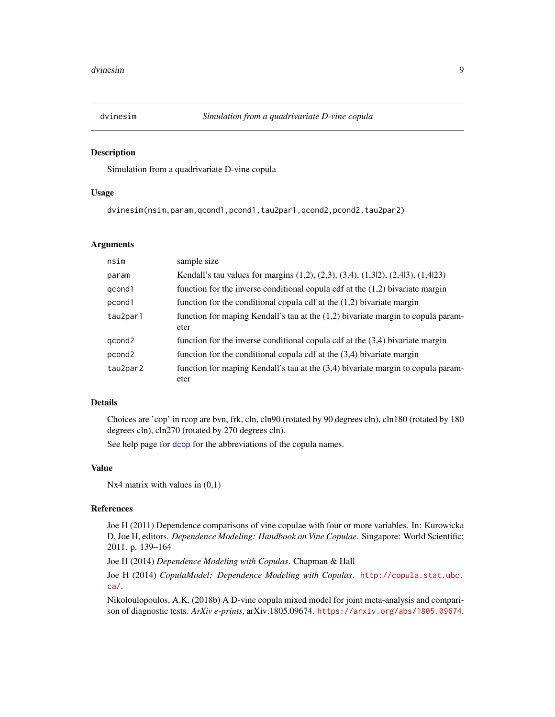<span id="page-8-0"></span>

Simulation from a quadrivariate D-vine copula

#### Usage

dvinesim(nsim,param,qcond1,pcond1,tau2par1,qcond2,pcond2,tau2par2)

# Arguments

| nsim               | sample size                                                                                       |
|--------------------|---------------------------------------------------------------------------------------------------|
| param              | Kendall's tau values for margins $(1,2)$ , $(2,3)$ , $(3,4)$ , $(1,312)$ , $(2,413)$ , $(1,4123)$ |
| qcond1             | function for the inverse conditional copula cdf at the $(1,2)$ bivariate margin                   |
| pcond1             | function for the conditional copula cdf at the $(1,2)$ bivariate margin                           |
| tau2par1           | function for maping Kendall's tau at the $(1,2)$ bivariate margin to copula param-<br>eter        |
| qcond2             | function for the inverse conditional copula cdf at the $(3,4)$ bivariate margin                   |
| pcond <sub>2</sub> | function for the conditional copula cdf at the $(3,4)$ bivariate margin                           |
| tau2par2           | function for maping Kendall's tau at the (3,4) bivariate margin to copula param-<br>eter          |

# Details

Choices are 'cop' in rcop are bvn, frk, cln, cln90 (rotated by 90 degrees cln), cln180 (rotated by 180 degrees cln), cln270 (rotated by 270 degrees cln).

See help page for [dcop](#page-7-1) for the abbreviations of the copula names.

# Value

Nx4 matrix with values in  $(0,1)$ 

#### References

Joe H (2011) Dependence comparisons of vine copulae with four or more variables. In: Kurowicka D, Joe H, editors. *Dependence Modeling: Handbook on Vine Copulae*. Singapore: World Scientific; 2011. p. 139–164

Joe H (2014) *Dependence Modeling with Copulas*. Chapman & Hall

Joe H (2014) *CopulaModel: Dependence Modeling with Copulas*. [http://copula.stat.ubc.](http://copula.stat.ubc.ca/) [ca/](http://copula.stat.ubc.ca/).

Nikoloulopoulos, A.K. (2018b) A D-vine copula mixed model for joint meta-analysis and comparison of diagnostic tests. *ArXiv e-prints*, arXiv:1805.09674. <https://arxiv.org/abs/1805.09674>.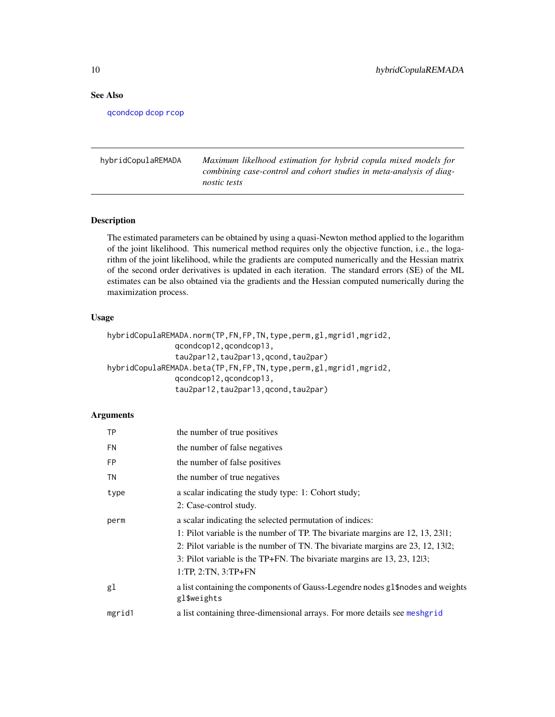# See Also

[qcondcop](#page-15-1) [dcop](#page-7-1) [rcop](#page-18-1)

hybridCopulaREMADA *Maximum likelhood estimation for hybrid copula mixed models for combining case-control and cohort studies in meta-analysis of diagnostic tests*

### Description

The estimated parameters can be obtained by using a quasi-Newton method applied to the logarithm of the joint likelihood. This numerical method requires only the objective function, i.e., the logarithm of the joint likelihood, while the gradients are computed numerically and the Hessian matrix of the second order derivatives is updated in each iteration. The standard errors (SE) of the ML estimates can be also obtained via the gradients and the Hessian computed numerically during the maximization process.

#### Usage

```
hybridCopulaREMADA.norm(TP,FN,FP,TN,type,perm,gl,mgrid1,mgrid2,
               qcondcop12,qcondcop13,
               tau2par12,tau2par13,qcond,tau2par)
hybridCopulaREMADA.beta(TP,FN,FP,TN,type,perm,gl,mgrid1,mgrid2,
               qcondcop12,qcondcop13,
               tau2par12,tau2par13,qcond,tau2par)
```
#### Arguments

| <b>TP</b> | the number of true positives                                                                      |
|-----------|---------------------------------------------------------------------------------------------------|
| <b>FN</b> | the number of false negatives                                                                     |
| <b>FP</b> | the number of false positives                                                                     |
| TN        | the number of true negatives                                                                      |
| type      | a scalar indicating the study type: 1: Cohort study;                                              |
|           | 2: Case-control study.                                                                            |
| perm      | a scalar indicating the selected permutation of indices:                                          |
|           | 1: Pilot variable is the number of TP. The bivariate margins are 12, 13, 2311;                    |
|           | 2: Pilot variable is the number of TN. The bivariate margins are $23$ , $12$ , $13\frac{12}{2}$ ; |
|           | 3: Pilot variable is the TP+FN. The bivariate margins are $13, 23, 1213$ ;                        |
|           | $1:TP, 2:TN, 3:TP+FN$                                                                             |
| gl        | a list containing the components of Gauss-Legendre nodes gl\$nodes and weights<br>gl\$weights     |
| mgrid1    | a list containing three-dimensional arrays. For more details see meshgrid                         |

<span id="page-9-0"></span>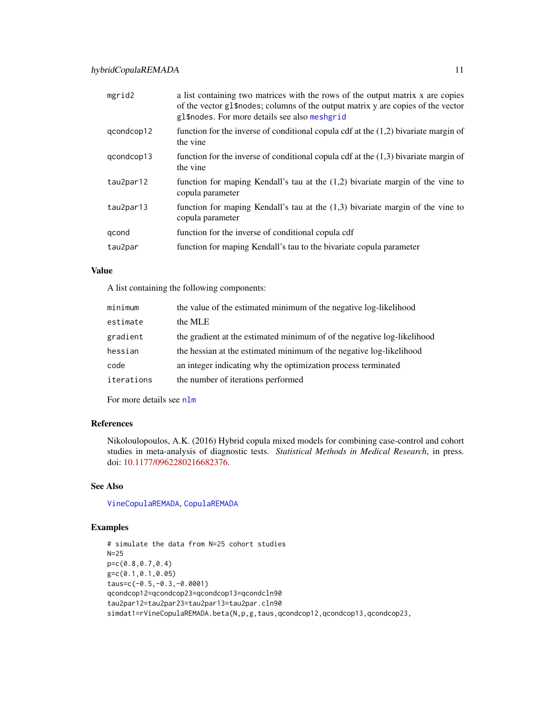<span id="page-10-0"></span>

| mgrid2     | a list containing two matrices with the rows of the output matrix x are copies<br>of the vector gl\$nodes; columns of the output matrix y are copies of the vector<br>gl\$nodes. For more details see also meshgrid |
|------------|---------------------------------------------------------------------------------------------------------------------------------------------------------------------------------------------------------------------|
| gcondcop12 | function for the inverse of conditional copula cdf at the $(1,2)$ bivariate margin of<br>the vine                                                                                                                   |
| qcondcop13 | function for the inverse of conditional copula cdf at the $(1,3)$ bivariate margin of<br>the vine                                                                                                                   |
| tau2par12  | function for maping Kendall's tau at the $(1,2)$ bivariate margin of the vine to<br>copula parameter                                                                                                                |
| tau2par13  | function for maping Kendall's tau at the $(1,3)$ bivariate margin of the vine to<br>copula parameter                                                                                                                |
| qcond      | function for the inverse of conditional copula cdf                                                                                                                                                                  |
| tau2par    | function for maping Kendall's tau to the bivariate copula parameter                                                                                                                                                 |
|            |                                                                                                                                                                                                                     |

### Value

A list containing the following components:

| minimum    | the value of the estimated minimum of the negative log-likelihood       |
|------------|-------------------------------------------------------------------------|
| estimate   | the MLE                                                                 |
| gradient   | the gradient at the estimated minimum of of the negative log-likelihood |
| hessian    | the hessian at the estimated minimum of the negative log-likelihood     |
| code       | an integer indicating why the optimization process terminated           |
| iterations | the number of iterations performed                                      |

For more details see [nlm](#page-0-0)

# References

Nikoloulopoulos, A.K. (2016) Hybrid copula mixed models for combining case-control and cohort studies in meta-analysis of diagnostic tests. *Statistical Methods in Medical Research*, in press. doi: [10.1177/0962280216682376.](http://doi.org/10.1177/0962280216682376)

# See Also

[VineCopulaREMADA](#page-27-1), [CopulaREMADA](#page-3-1)

# Examples

# simulate the data from N=25 cohort studies N=25 p=c(0.8,0.7,0.4) g=c(0.1,0.1,0.05) taus=c(-0.5,-0.3,-0.0001) qcondcop12=qcondcop23=qcondcop13=qcondcln90 tau2par12=tau2par23=tau2par13=tau2par.cln90 simdat1=rVineCopulaREMADA.beta(N,p,g,taus,qcondcop12,qcondcop13,qcondcop23,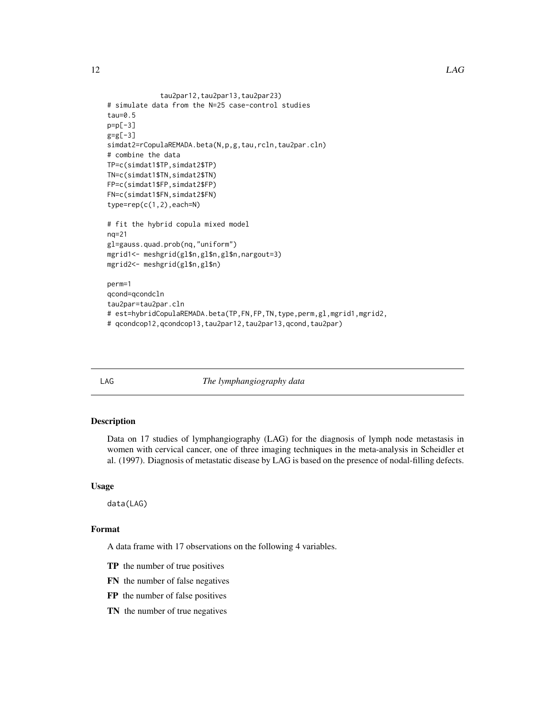```
tau2par12,tau2par13,tau2par23)
# simulate data from the N=25 case-control studies
tau=0.5
p=p[-3]
g = g[-3]simdat2=rCopulaREMADA.beta(N,p,g,tau,rcln,tau2par.cln)
# combine the data
TP=c(simdat1$TP,simdat2$TP)
TN=c(simdat1$TN,simdat2$TN)
FP=c(simdat1$FP,simdat2$FP)
FN=c(simdat1$FN,simdat2$FN)
type=rep(c(1,2),each=N)# fit the hybrid copula mixed model
nq=21
gl=gauss.quad.prob(nq,"uniform")
mgrid1<- meshgrid(gl$n,gl$n,gl$n,nargout=3)
mgrid2<- meshgrid(gl$n,gl$n)
perm=1
qcond=qcondcln
tau2par=tau2par.cln
# est=hybridCopulaREMADA.beta(TP,FN,FP,TN,type,perm,gl,mgrid1,mgrid2,
# qcondcop12,qcondcop13,tau2par12,tau2par13,qcond,tau2par)
```
LAG *The lymphangiography data*

#### Description

Data on 17 studies of lymphangiography (LAG) for the diagnosis of lymph node metastasis in women with cervical cancer, one of three imaging techniques in the meta-analysis in Scheidler et al. (1997). Diagnosis of metastatic disease by LAG is based on the presence of nodal-filling defects.

#### Usage

data(LAG)

# Format

A data frame with 17 observations on the following 4 variables.

- TP the number of true positives
- FN the number of false negatives
- FP the number of false positives
- TN the number of true negatives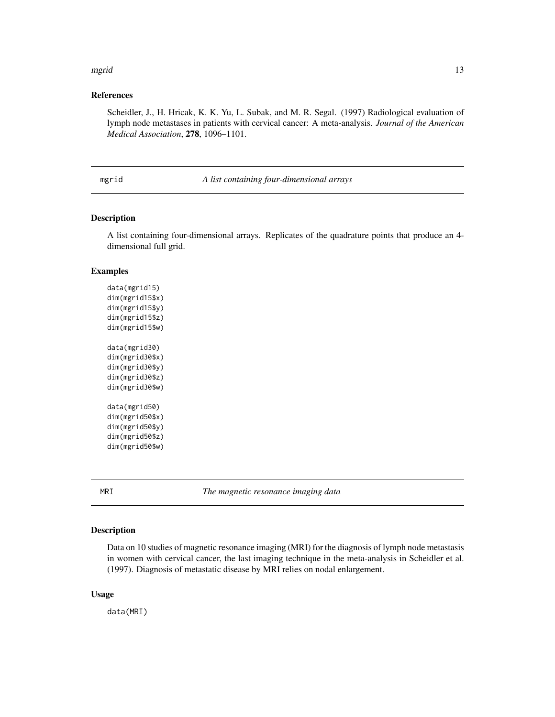#### <span id="page-12-0"></span>mgrid the contract of the contract of the contract of the contract of the contract of the contract of the contract of the contract of the contract of the contract of the contract of the contract of the contract of the cont

#### References

Scheidler, J., H. Hricak, K. K. Yu, L. Subak, and M. R. Segal. (1997) Radiological evaluation of lymph node metastases in patients with cervical cancer: A meta-analysis. *Journal of the American Medical Association*, 278, 1096–1101.

mgrid *A list containing four-dimensional arrays*

# Description

A list containing four-dimensional arrays. Replicates of the quadrature points that produce an 4 dimensional full grid.

#### Examples

data(mgrid15) dim(mgrid15\$x) dim(mgrid15\$y) dim(mgrid15\$z) dim(mgrid15\$w) data(mgrid30) dim(mgrid30\$x) dim(mgrid30\$y) dim(mgrid30\$z) dim(mgrid30\$w) data(mgrid50) dim(mgrid50\$x) dim(mgrid50\$y) dim(mgrid50\$z) dim(mgrid50\$w)

MRI *The magnetic resonance imaging data*

#### Description

Data on 10 studies of magnetic resonance imaging (MRI) for the diagnosis of lymph node metastasis in women with cervical cancer, the last imaging technique in the meta-analysis in Scheidler et al. (1997). Diagnosis of metastatic disease by MRI relies on nodal enlargement.

#### Usage

data(MRI)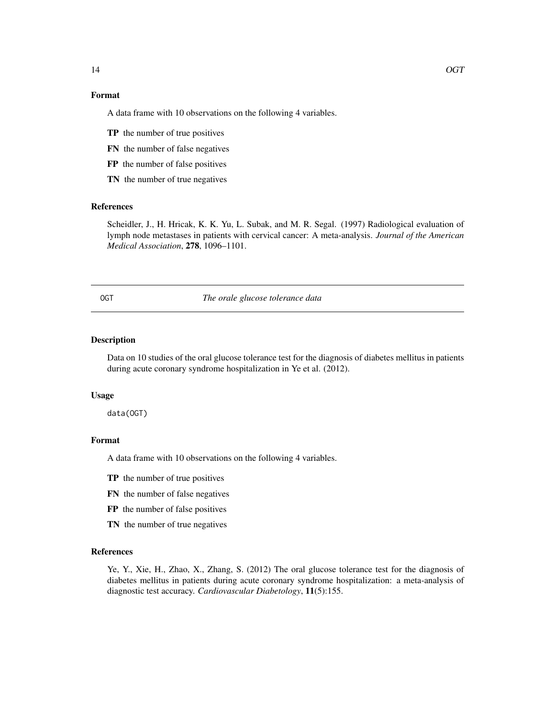# Format

A data frame with 10 observations on the following 4 variables.

- TP the number of true positives
- FN the number of false negatives
- FP the number of false positives
- TN the number of true negatives

# References

Scheidler, J., H. Hricak, K. K. Yu, L. Subak, and M. R. Segal. (1997) Radiological evaluation of lymph node metastases in patients with cervical cancer: A meta-analysis. *Journal of the American Medical Association*, 278, 1096–1101.

OGT *The orale glucose tolerance data*

# Description

Data on 10 studies of the oral glucose tolerance test for the diagnosis of diabetes mellitus in patients during acute coronary syndrome hospitalization in Ye et al. (2012).

#### Usage

data(OGT)

# Format

A data frame with 10 observations on the following 4 variables.

- TP the number of true positives
- FN the number of false negatives
- FP the number of false positives
- TN the number of true negatives

#### References

Ye, Y., Xie, H., Zhao, X., Zhang, S. (2012) The oral glucose tolerance test for the diagnosis of diabetes mellitus in patients during acute coronary syndrome hospitalization: a meta-analysis of diagnostic test accuracy. *Cardiovascular Diabetology*, 11(5):155.

<span id="page-13-0"></span>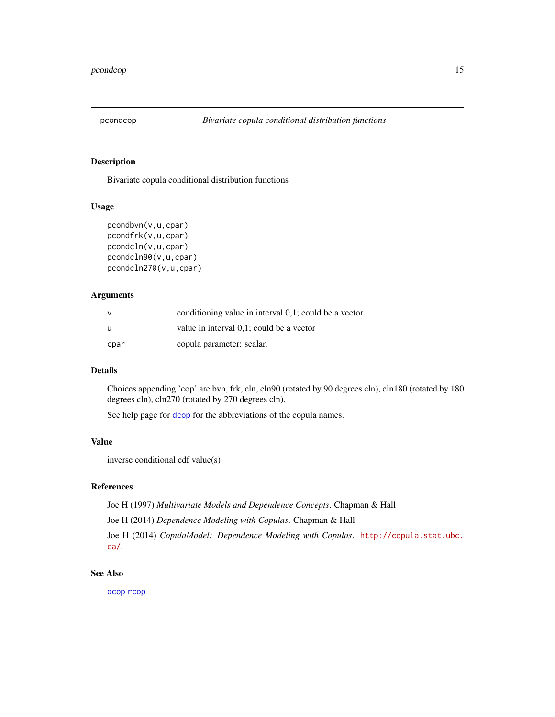<span id="page-14-0"></span>

Bivariate copula conditional distribution functions

#### Usage

```
pcondbvn(v,u,cpar)
pcondfrk(v,u,cpar)
pcondcln(v,u,cpar)
pcondcln90(v,u,cpar)
pcondcln270(v,u,cpar)
```
# Arguments

| $\mathsf{V}$ | conditioning value in interval 0.1; could be a vector |
|--------------|-------------------------------------------------------|
| u            | value in interval 0,1; could be a vector              |
| cpar         | copula parameter: scalar.                             |

### Details

Choices appending 'cop' are bvn, frk, cln, cln90 (rotated by 90 degrees cln), cln180 (rotated by 180 degrees cln), cln270 (rotated by 270 degrees cln).

See help page for [dcop](#page-7-1) for the abbreviations of the copula names.

#### Value

inverse conditional cdf value(s)

# References

Joe H (1997) *Multivariate Models and Dependence Concepts*. Chapman & Hall

Joe H (2014) *Dependence Modeling with Copulas*. Chapman & Hall

Joe H (2014) *CopulaModel: Dependence Modeling with Copulas*. [http://copula.stat.ubc.](http://copula.stat.ubc.ca/) [ca/](http://copula.stat.ubc.ca/).

# See Also

[dcop](#page-7-1) [rcop](#page-18-1)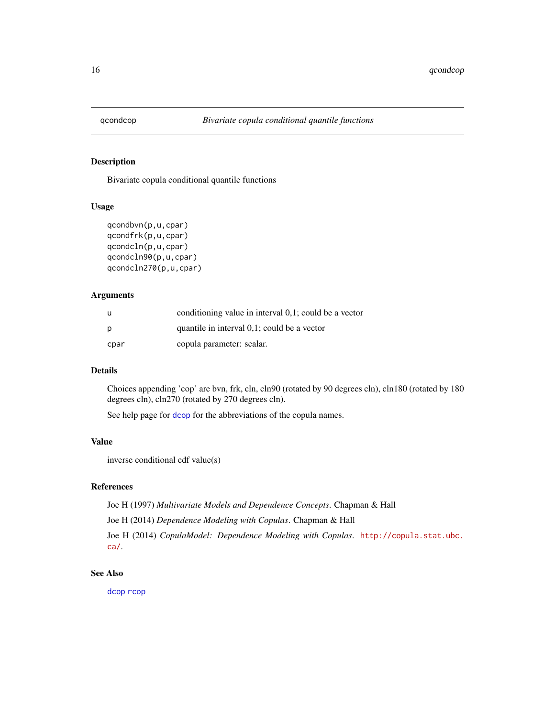<span id="page-15-1"></span><span id="page-15-0"></span>

Bivariate copula conditional quantile functions

#### Usage

```
qcondbvn(p,u,cpar)
qcondfrk(p,u,cpar)
qcondcln(p,u,cpar)
qcondcln90(p,u,cpar)
qcondcln270(p,u,cpar)
```
# Arguments

| u    | conditioning value in interval 0.1; could be a vector |
|------|-------------------------------------------------------|
| p    | quantile in interval 0,1; could be a vector           |
| cpar | copula parameter: scalar.                             |

# Details

Choices appending 'cop' are bvn, frk, cln, cln90 (rotated by 90 degrees cln), cln180 (rotated by 180 degrees cln), cln270 (rotated by 270 degrees cln).

See help page for [dcop](#page-7-1) for the abbreviations of the copula names.

#### Value

inverse conditional cdf value(s)

# References

Joe H (1997) *Multivariate Models and Dependence Concepts*. Chapman & Hall

Joe H (2014) *Dependence Modeling with Copulas*. Chapman & Hall

Joe H (2014) *CopulaModel: Dependence Modeling with Copulas*. [http://copula.stat.ubc.](http://copula.stat.ubc.ca/) [ca/](http://copula.stat.ubc.ca/).

# See Also

[dcop](#page-7-1) [rcop](#page-18-1)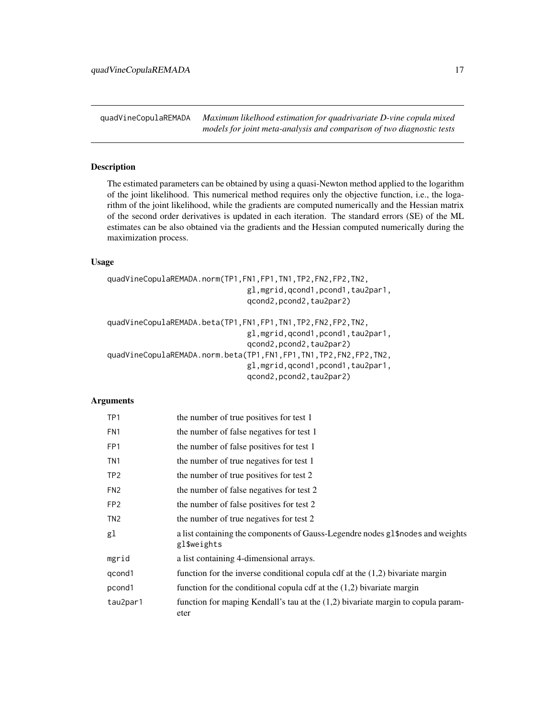<span id="page-16-0"></span>quadVineCopulaREMADA *Maximum likelhood estimation for quadrivariate D-vine copula mixed models for joint meta-analysis and comparison of two diagnostic tests*

#### Description

The estimated parameters can be obtained by using a quasi-Newton method applied to the logarithm of the joint likelihood. This numerical method requires only the objective function, i.e., the logarithm of the joint likelihood, while the gradients are computed numerically and the Hessian matrix of the second order derivatives is updated in each iteration. The standard errors (SE) of the ML estimates can be also obtained via the gradients and the Hessian computed numerically during the maximization process.

#### Usage

```
quadVineCopulaREMADA.norm(TP1,FN1,FP1,TN1,TP2,FN2,FP2,TN2,
                               gl,mgrid,qcond1,pcond1,tau2par1,
                               qcond2,pcond2,tau2par2)
quadVineCopulaREMADA.beta(TP1,FN1,FP1,TN1,TP2,FN2,FP2,TN2,
                               gl,mgrid,qcond1,pcond1,tau2par1,
                               qcond2, pcond2, tau2par2)
quadVineCopulaREMADA.norm.beta(TP1,FN1,FP1,TN1,TP2,FN2,FP2,TN2,
                               gl,mgrid,qcond1,pcond1,tau2par1,
                               qcond2, pcond2, tau2par2)
```
#### Arguments

| TP <sub>1</sub> | the number of true positives for test 1                                                       |
|-----------------|-----------------------------------------------------------------------------------------------|
| FN <sub>1</sub> | the number of false negatives for test 1                                                      |
| FP <sub>1</sub> | the number of false positives for test 1                                                      |
| TN <sub>1</sub> | the number of true negatives for test 1                                                       |
| TP <sub>2</sub> | the number of true positives for test 2                                                       |
| FN <sub>2</sub> | the number of false negatives for test 2                                                      |
| FP <sub>2</sub> | the number of false positives for test 2                                                      |
| TN <sub>2</sub> | the number of true negatives for test 2                                                       |
| gl              | a list containing the components of Gauss-Legendre nodes gl\$nodes and weights<br>gl\$weights |
| mgrid           | a list containing 4-dimensional arrays.                                                       |
| qcond1          | function for the inverse conditional copula cdf at the $(1,2)$ bivariate margin               |
| pcond1          | function for the conditional copula cdf at the $(1,2)$ bivariate margin                       |
| tau2par1        | function for maping Kendall's tau at the $(1,2)$ bivariate margin to copula param-<br>eter    |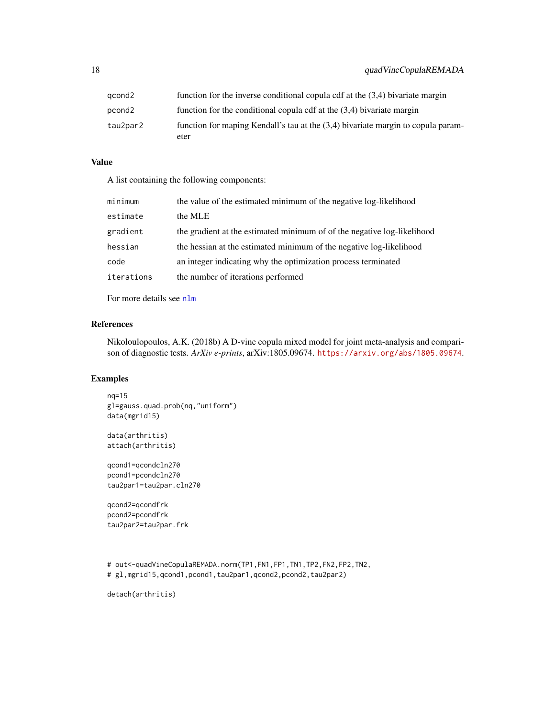<span id="page-17-0"></span>

| qcond2   | function for the inverse conditional copula cdf at the $(3,4)$ bivariate margin          |
|----------|------------------------------------------------------------------------------------------|
| pcond2   | function for the conditional copula cdf at the $(3,4)$ bivariate margin                  |
| tau2par2 | function for maping Kendall's tau at the (3,4) bivariate margin to copula param-<br>eter |

#### Value

A list containing the following components:

| minimum    | the value of the estimated minimum of the negative log-likelihood       |
|------------|-------------------------------------------------------------------------|
| estimate   | the MLE                                                                 |
| gradient   | the gradient at the estimated minimum of of the negative log-likelihood |
| hessian    | the hessian at the estimated minimum of the negative log-likelihood     |
| code       | an integer indicating why the optimization process terminated           |
| iterations | the number of iterations performed                                      |

For more details see [nlm](#page-0-0)

# References

Nikoloulopoulos, A.K. (2018b) A D-vine copula mixed model for joint meta-analysis and comparison of diagnostic tests. *ArXiv e-prints*, arXiv:1805.09674. <https://arxiv.org/abs/1805.09674>.

# Examples

```
nq=15
gl=gauss.quad.prob(nq,"uniform")
data(mgrid15)
```
data(arthritis) attach(arthritis)

qcond1=qcondcln270 pcond1=pcondcln270 tau2par1=tau2par.cln270

qcond2=qcondfrk pcond2=pcondfrk tau2par2=tau2par.frk

```
# out<-quadVineCopulaREMADA.norm(TP1,FN1,FP1,TN1,TP2,FN2,FP2,TN2,
# gl,mgrid15,qcond1,pcond1,tau2par1,qcond2,pcond2,tau2par2)
```
detach(arthritis)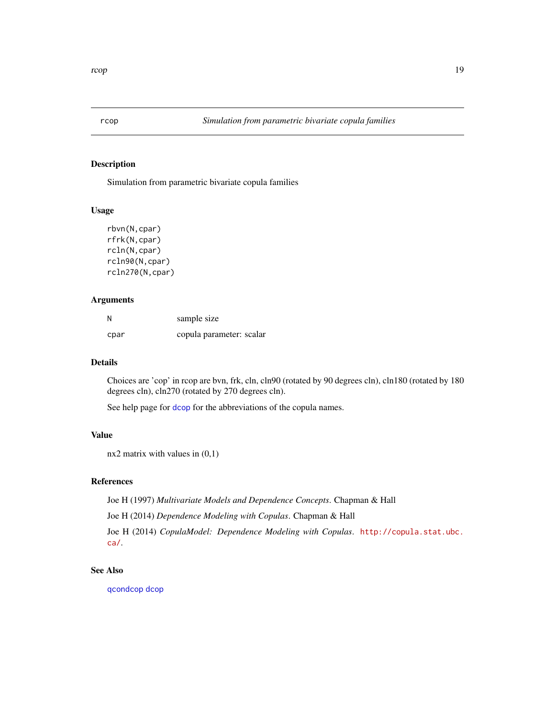<span id="page-18-1"></span><span id="page-18-0"></span>

Simulation from parametric bivariate copula families

#### Usage

```
rbvn(N,cpar)
rfrk(N,cpar)
rcln(N,cpar)
rcln90(N,cpar)
rcln270(N,cpar)
```
# Arguments

| N    | sample size              |
|------|--------------------------|
| cpar | copula parameter: scalar |

# Details

Choices are 'cop' in rcop are bvn, frk, cln, cln90 (rotated by 90 degrees cln), cln180 (rotated by 180 degrees cln), cln270 (rotated by 270 degrees cln).

See help page for [dcop](#page-7-1) for the abbreviations of the copula names.

# Value

 $nx2$  matrix with values in  $(0,1)$ 

# References

Joe H (1997) *Multivariate Models and Dependence Concepts*. Chapman & Hall

Joe H (2014) *Dependence Modeling with Copulas*. Chapman & Hall

Joe H (2014) *CopulaModel: Dependence Modeling with Copulas*. [http://copula.stat.ubc.](http://copula.stat.ubc.ca/) [ca/](http://copula.stat.ubc.ca/).

# See Also

[qcondcop](#page-15-1) [dcop](#page-7-1)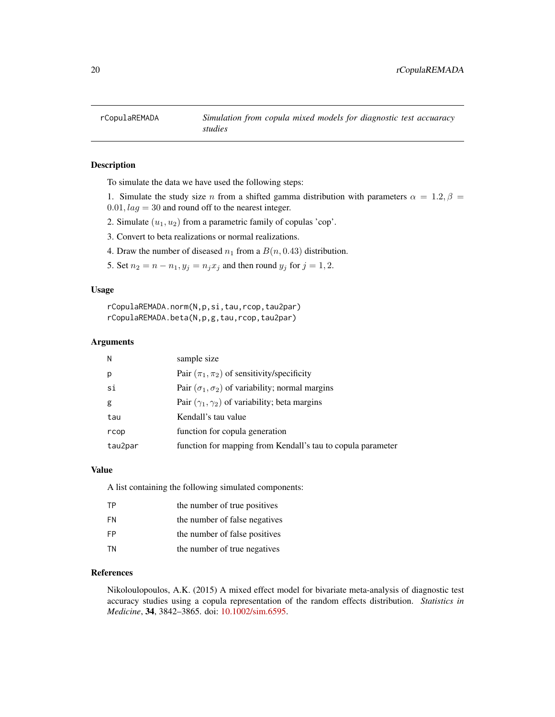<span id="page-19-1"></span><span id="page-19-0"></span>

To simulate the data we have used the following steps:

- 1. Simulate the study size n from a shifted gamma distribution with parameters  $\alpha = 1.2, \beta =$  $0.01, lag = 30$  and round off to the nearest integer.
- 2. Simulate  $(u_1, u_2)$  from a parametric family of copulas 'cop'.
- 3. Convert to beta realizations or normal realizations.
- 4. Draw the number of diseased  $n_1$  from a  $B(n, 0.43)$  distribution.
- 5. Set  $n_2 = n n_1$ ,  $y_j = n_j x_j$  and then round  $y_j$  for  $j = 1, 2$ .

#### Usage

rCopulaREMADA.norm(N,p,si,tau,rcop,tau2par) rCopulaREMADA.beta(N,p,g,tau,rcop,tau2par)

#### Arguments

| N       | sample size                                                  |
|---------|--------------------------------------------------------------|
| p       | Pair $(\pi_1, \pi_2)$ of sensitivity/specificity             |
| si      | Pair ( $\sigma_1, \sigma_2$ ) of variability; normal margins |
| g       | Pair $(\gamma_1, \gamma_2)$ of variability; beta margins     |
| tau     | Kendall's tau value                                          |
| rcop    | function for copula generation                               |
| tau2par | function for mapping from Kendall's tau to copula parameter  |

#### Value

A list containing the following simulated components:

| TP        | the number of true positives  |
|-----------|-------------------------------|
| FN        | the number of false negatives |
| <b>FP</b> | the number of false positives |
| TN        | the number of true negatives  |

## References

Nikoloulopoulos, A.K. (2015) A mixed effect model for bivariate meta-analysis of diagnostic test accuracy studies using a copula representation of the random effects distribution. *Statistics in Medicine*, 34, 3842–3865. doi: [10.1002/sim.6595.](http://doi.org/10.1002/sim.6595)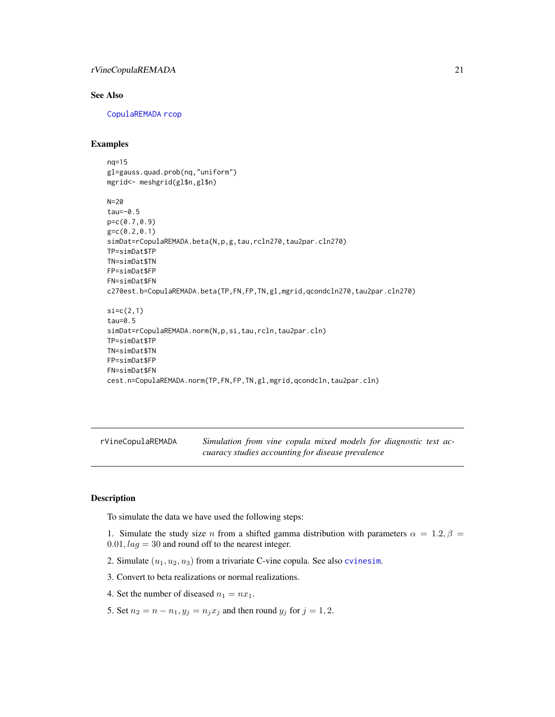# <span id="page-20-0"></span>rVineCopulaREMADA 21

#### See Also

[CopulaREMADA](#page-3-1) [rcop](#page-18-1)

# Examples

```
nq=15
gl=gauss.quad.prob(nq,"uniform")
mgrid<- meshgrid(gl$n,gl$n)
N=20
tau=-0.5
p=c(0.7,0.9)
g=c(0.2,0.1)
simDat=rCopulaREMADA.beta(N,p,g,tau,rcln270,tau2par.cln270)
TP=simDat$TP
TN=simDat$TN
FP=simDat$FP
FN=simDat$FN
c270est.b=CopulaREMADA.beta(TP,FN,FP,TN,gl,mgrid,qcondcln270,tau2par.cln270)
si=c(2,1)tau=0.5
simDat=rCopulaREMADA.norm(N,p,si,tau,rcln,tau2par.cln)
TP=simDat$TP
TN=simDat$TN
FP=simDat$FP
FN=simDat$FN
cest.n=CopulaREMADA.norm(TP,FN,FP,TN,gl,mgrid,qcondcln,tau2par.cln)
```
<span id="page-20-1"></span>rVineCopulaREMADA *Simulation from vine copula mixed models for diagnostic test accuaracy studies accounting for disease prevalence*

# Description

To simulate the data we have used the following steps:

- 1. Simulate the study size n from a shifted gamma distribution with parameters  $\alpha = 1.2, \beta =$  $0.01, lag = 30$  and round off to the nearest integer.
- 2. Simulate  $(u_1, u_2, u_3)$  from a trivariate C-vine copula. See also [cvinesim](#page-6-1).
- 3. Convert to beta realizations or normal realizations.
- 4. Set the number of diseased  $n_1 = nx_1$ .
- 5. Set  $n_2 = n n_1$ ,  $y_j = n_j x_j$  and then round  $y_j$  for  $j = 1, 2$ .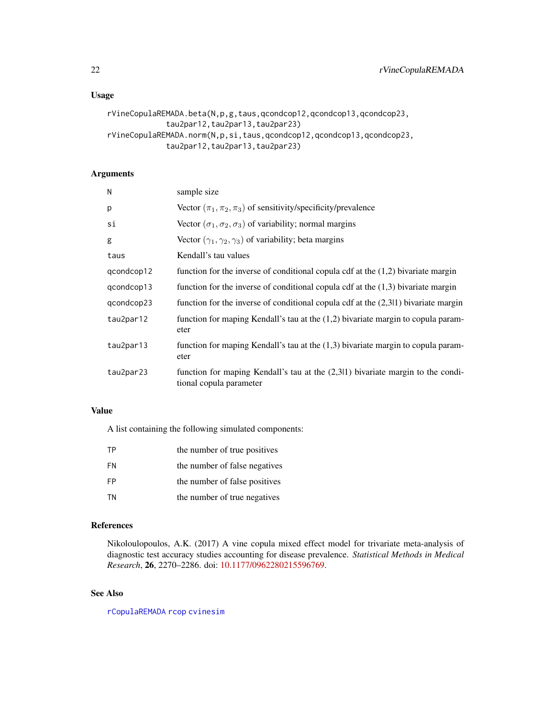# <span id="page-21-0"></span>Usage

```
rVineCopulaREMADA.beta(N,p,g,taus,qcondcop12,qcondcop13,qcondcop23,
             tau2par12,tau2par13,tau2par23)
rVineCopulaREMADA.norm(N,p,si,taus,qcondcop12,qcondcop13,qcondcop23,
             tau2par12,tau2par13,tau2par23)
```
# Arguments

| N          | sample size                                                                                                  |
|------------|--------------------------------------------------------------------------------------------------------------|
| p          | Vector $(\pi_1, \pi_2, \pi_3)$ of sensitivity/specificity/prevalence                                         |
| si         | Vector ( $\sigma_1, \sigma_2, \sigma_3$ ) of variability; normal margins                                     |
| g          | Vector $(\gamma_1, \gamma_2, \gamma_3)$ of variability; beta margins                                         |
| taus       | Kendall's tau values                                                                                         |
| qcondcop12 | function for the inverse of conditional copula cdf at the $(1,2)$ bivariate margin                           |
| qcondcop13 | function for the inverse of conditional copula cdf at the $(1,3)$ bivariate margin                           |
| qcondcop23 | function for the inverse of conditional copula cdf at the $(2,311)$ bivariate margin                         |
| tau2par12  | function for maping Kendall's tau at the $(1,2)$ bivariate margin to copula param-<br>eter                   |
| tau2par13  | function for maping Kendall's tau at the $(1,3)$ bivariate margin to copula param-<br>eter                   |
| tau2par23  | function for maping Kendall's tau at the $(2,311)$ bivariate margin to the condi-<br>tional copula parameter |

# Value

A list containing the following simulated components:

| TP        | the number of true positives  |
|-----------|-------------------------------|
| FN        | the number of false negatives |
| <b>FP</b> | the number of false positives |
| TN        | the number of true negatives  |

#### References

Nikoloulopoulos, A.K. (2017) A vine copula mixed effect model for trivariate meta-analysis of diagnostic test accuracy studies accounting for disease prevalence. *Statistical Methods in Medical Research*, 26, 2270–2286. doi: [10.1177/0962280215596769.](http://doi.org/10.1177/0962280215596769)

# See Also

[rCopulaREMADA](#page-19-1) [rcop](#page-18-1) [cvinesim](#page-6-1)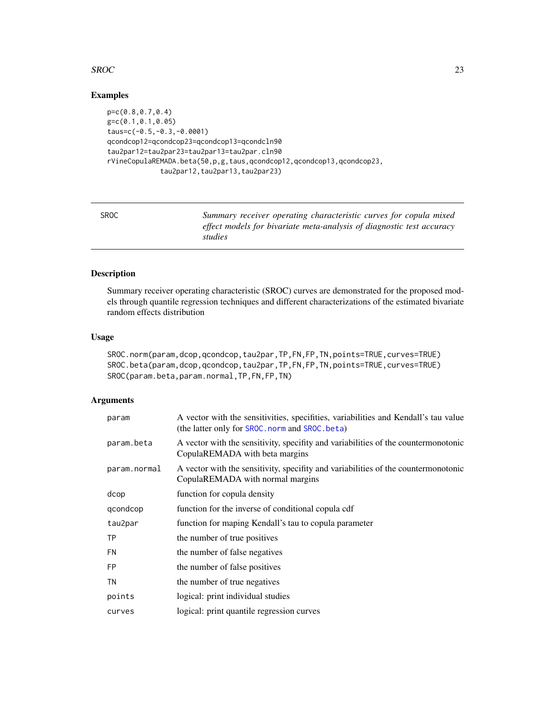#### <span id="page-22-0"></span> $SROC$  23

# Examples

```
p=c(0.8,0.7,0.4)
g=c(0.1,0.1,0.05)
taus=c(-0.5,-0.3,-0.0001)
qcondcop12=qcondcop23=qcondcop13=qcondcln90
tau2par12=tau2par23=tau2par13=tau2par.cln90
rVineCopulaREMADA.beta(50,p,g,taus,qcondcop12,qcondcop13,qcondcop23,
             tau2par12,tau2par13,tau2par23)
```
SROC *Summary receiver operating characteristic curves for copula mixed effect models for bivariate meta-analysis of diagnostic test accuracy studies*

# <span id="page-22-1"></span>Description

Summary receiver operating characteristic (SROC) curves are demonstrated for the proposed models through quantile regression techniques and different characterizations of the estimated bivariate random effects distribution

#### Usage

```
SROC.norm(param,dcop,qcondcop,tau2par,TP,FN,FP,TN,points=TRUE,curves=TRUE)
SROC.beta(param,dcop,qcondcop,tau2par,TP,FN,FP,TN,points=TRUE,curves=TRUE)
SROC(param.beta,param.normal,TP,FN,FP,TN)
```
#### Arguments

| param        | A vector with the sensitivities, specifities, variabilities and Kendall's tau value<br>(the latter only for SROC. norm and SROC. beta) |  |
|--------------|----------------------------------------------------------------------------------------------------------------------------------------|--|
| param.beta   | A vector with the sensitivity, specifity and variabilities of the countermonotonic<br>CopulaREMADA with beta margins                   |  |
| param.normal | A vector with the sensitivity, specifity and variabilities of the countermonotonic<br>CopulaREMADA with normal margins                 |  |
| dcop         | function for copula density                                                                                                            |  |
| gcondcop     | function for the inverse of conditional copula cdf                                                                                     |  |
| tau2par      | function for maping Kendall's tau to copula parameter                                                                                  |  |
| <b>TP</b>    | the number of true positives                                                                                                           |  |
| <b>FN</b>    | the number of false negatives                                                                                                          |  |
| <b>FP</b>    | the number of false positives                                                                                                          |  |
| TN           | the number of true negatives                                                                                                           |  |
| points       | logical: print individual studies                                                                                                      |  |
| curves       | logical: print quantile regression curves                                                                                              |  |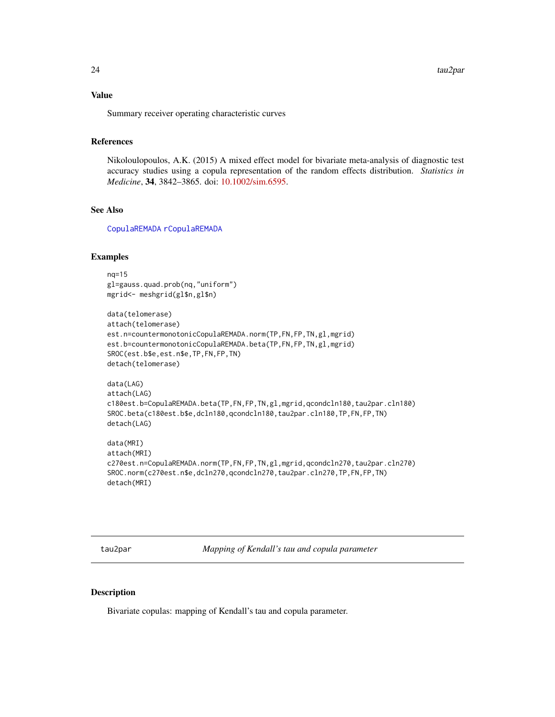## <span id="page-23-0"></span>Value

Summary receiver operating characteristic curves

# References

Nikoloulopoulos, A.K. (2015) A mixed effect model for bivariate meta-analysis of diagnostic test accuracy studies using a copula representation of the random effects distribution. *Statistics in Medicine*, 34, 3842–3865. doi: [10.1002/sim.6595.](http://doi.org/10.1002/sim.6595)

#### See Also

[CopulaREMADA](#page-3-1) [rCopulaREMADA](#page-19-1)

#### Examples

```
nq=15
gl=gauss.quad.prob(nq,"uniform")
mgrid<- meshgrid(gl$n,gl$n)
data(telomerase)
attach(telomerase)
est.n=countermonotonicCopulaREMADA.norm(TP,FN,FP,TN,gl,mgrid)
est.b=countermonotonicCopulaREMADA.beta(TP,FN,FP,TN,gl,mgrid)
SROC(est.b$e,est.n$e,TP,FN,FP,TN)
detach(telomerase)
data(LAG)
attach(LAG)
c180est.b=CopulaREMADA.beta(TP,FN,FP,TN,gl,mgrid,qcondcln180,tau2par.cln180)
SROC.beta(c180est.b$e,dcln180,qcondcln180,tau2par.cln180,TP,FN,FP,TN)
detach(LAG)
data(MRI)
attach(MRI)
c270est.n=CopulaREMADA.norm(TP,FN,FP,TN,gl,mgrid,qcondcln270,tau2par.cln270)
SROC.norm(c270est.n$e,dcln270,qcondcln270,tau2par.cln270,TP,FN,FP,TN)
detach(MRI)
```
tau2par *Mapping of Kendall's tau and copula parameter*

# **Description**

Bivariate copulas: mapping of Kendall's tau and copula parameter.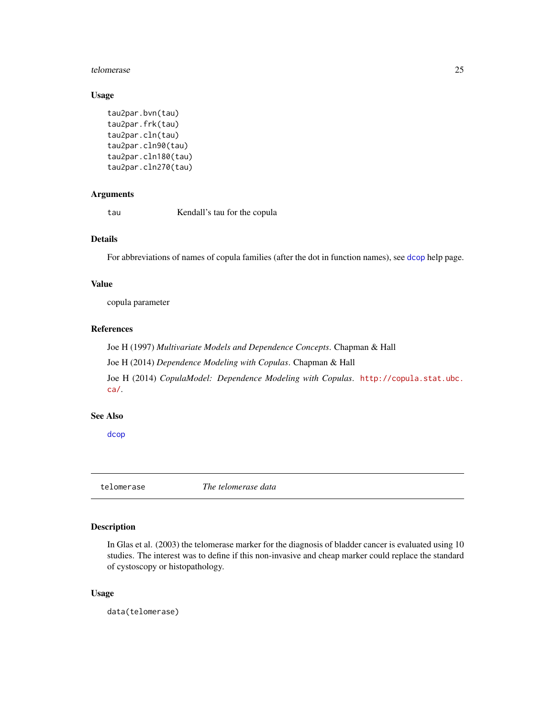#### <span id="page-24-0"></span>telomerase 25

# Usage

```
tau2par.bvn(tau)
tau2par.frk(tau)
tau2par.cln(tau)
tau2par.cln90(tau)
tau2par.cln180(tau)
tau2par.cln270(tau)
```
# Arguments

tau Kendall's tau for the copula

# Details

For abbreviations of names of copula families (after the dot in function names), see [dcop](#page-7-1) help page.

# Value

copula parameter

# References

Joe H (1997) *Multivariate Models and Dependence Concepts*. Chapman & Hall Joe H (2014) *Dependence Modeling with Copulas*. Chapman & Hall Joe H (2014) *CopulaModel: Dependence Modeling with Copulas*. [http://copula.stat.ubc.](http://copula.stat.ubc.ca/) [ca/](http://copula.stat.ubc.ca/).

## See Also

[dcop](#page-7-1)

telomerase *The telomerase data*

# Description

In Glas et al. (2003) the telomerase marker for the diagnosis of bladder cancer is evaluated using 10 studies. The interest was to define if this non-invasive and cheap marker could replace the standard of cystoscopy or histopathology.

# Usage

data(telomerase)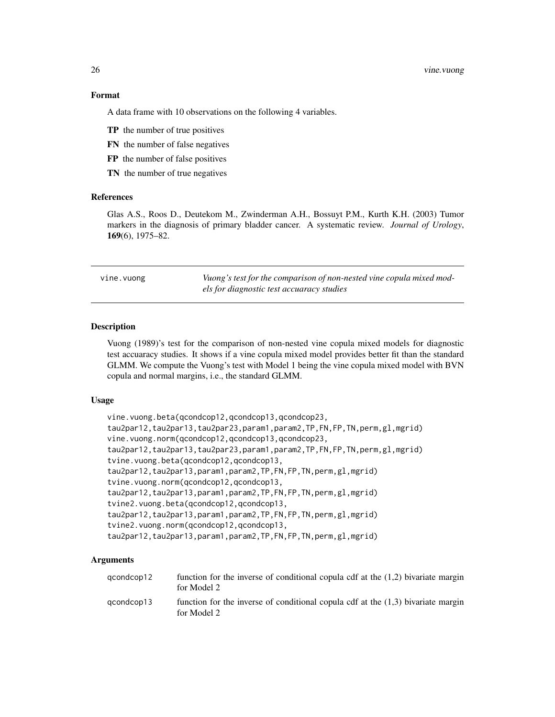#### 26 vine.vuong

#### Format

A data frame with 10 observations on the following 4 variables.

- TP the number of true positives
- FN the number of false negatives
- FP the number of false positives
- TN the number of true negatives

### References

Glas A.S., Roos D., Deutekom M., Zwinderman A.H., Bossuyt P.M., Kurth K.H. (2003) Tumor markers in the diagnosis of primary bladder cancer. A systematic review. *Journal of Urology*, 169(6), 1975–82.

vine.vuong *Vuong's test for the comparison of non-nested vine copula mixed models for diagnostic test accuaracy studies*

#### Description

Vuong (1989)'s test for the comparison of non-nested vine copula mixed models for diagnostic test accuaracy studies. It shows if a vine copula mixed model provides better fit than the standard GLMM. We compute the Vuong's test with Model 1 being the vine copula mixed model with BVN copula and normal margins, i.e., the standard GLMM.

#### Usage

```
vine.vuong.beta(qcondcop12,qcondcop13,qcondcop23,
tau2par12,tau2par13,tau2par23,param1,param2,TP,FN,FP,TN,perm,gl,mgrid)
vine.vuong.norm(qcondcop12,qcondcop13,qcondcop23,
tau2par12,tau2par13,tau2par23,param1,param2,TP,FN,FP,TN,perm,gl,mgrid)
tvine.vuong.beta(qcondcop12,qcondcop13,
tau2par12,tau2par13,param1,param2,TP,FN,FP,TN,perm,gl,mgrid)
tvine.vuong.norm(qcondcop12,qcondcop13,
tau2par12,tau2par13,param1,param2,TP,FN,FP,TN,perm,gl,mgrid)
tvine2.vuong.beta(qcondcop12,qcondcop13,
tau2par12,tau2par13,param1,param2,TP,FN,FP,TN,perm,gl,mgrid)
tvine2.vuong.norm(qcondcop12,qcondcop13,
tau2par12, tau2par13, param1, param2, TP, FN, FP, TN, perm, gl, mgrid)
```
# Arguments

| acondcop12 | function for the inverse of conditional copula cdf at the $(1,2)$ bivariate margin<br>for Model 2 |
|------------|---------------------------------------------------------------------------------------------------|
| acondcop13 | function for the inverse of conditional copula cdf at the $(1,3)$ bivariate margin<br>for Model 2 |

<span id="page-25-0"></span>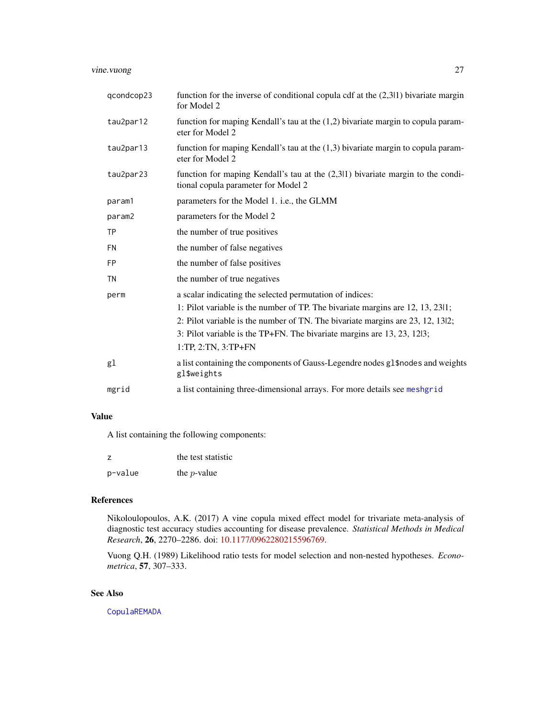<span id="page-26-0"></span>vine.vuong 27

| qcondcop23 | function for the inverse of conditional copula cdf at the $(2,311)$ bivariate margin<br>for Model 2                      |
|------------|--------------------------------------------------------------------------------------------------------------------------|
| tau2par12  | function for maping Kendall's tau at the $(1,2)$ bivariate margin to copula param-<br>eter for Model 2                   |
| tau2par13  | function for maping Kendall's tau at the $(1,3)$ bivariate margin to copula param-<br>eter for Model 2                   |
| tau2par23  | function for maping Kendall's tau at the $(2,311)$ bivariate margin to the condi-<br>tional copula parameter for Model 2 |
| param1     | parameters for the Model 1. <i>i.e.</i> , the GLMM                                                                       |
| param2     | parameters for the Model 2                                                                                               |
| <b>TP</b>  | the number of true positives                                                                                             |
| <b>FN</b>  | the number of false negatives                                                                                            |
| <b>FP</b>  | the number of false positives                                                                                            |
| <b>TN</b>  | the number of true negatives                                                                                             |
| perm       | a scalar indicating the selected permutation of indices:                                                                 |
|            | 1: Pilot variable is the number of TP. The bivariate margins are 12, 13, 2311;                                           |
|            | 2: Pilot variable is the number of TN. The bivariate margins are 23, 12, 13l2;                                           |
|            | 3: Pilot variable is the TP+FN. The bivariate margins are 13, 23, 12l3;                                                  |
|            | $1:TP, 2:TN, 3:TP+FN$                                                                                                    |
| gl         | a list containing the components of Gauss-Legendre nodes gl\$nodes and weights<br>gl\$weights                            |
| mgrid      | a list containing three-dimensional arrays. For more details see meshgrid                                                |

## Value

A list containing the following components:

| z       | the test statistic |
|---------|--------------------|
| p-value | the $p$ -value     |

# References

Nikoloulopoulos, A.K. (2017) A vine copula mixed effect model for trivariate meta-analysis of diagnostic test accuracy studies accounting for disease prevalence. *Statistical Methods in Medical Research*, 26, 2270–2286. doi: [10.1177/0962280215596769.](http://doi.org/10.1177/0962280215596769)

Vuong Q.H. (1989) Likelihood ratio tests for model selection and non-nested hypotheses. *Econometrica*, 57, 307–333.

# See Also

[CopulaREMADA](#page-3-1)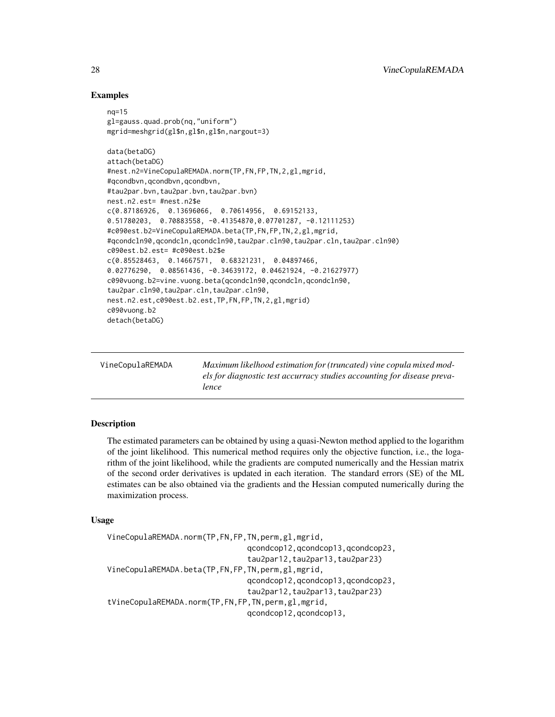# Examples

```
nq=15
gl=gauss.quad.prob(nq,"uniform")
mgrid=meshgrid(gl$n,gl$n,gl$n,nargout=3)
data(betaDG)
attach(betaDG)
#nest.n2=VineCopulaREMADA.norm(TP,FN,FP,TN,2,gl,mgrid,
#qcondbvn,qcondbvn,qcondbvn,
#tau2par.bvn,tau2par.bvn,tau2par.bvn)
nest.n2.est= #nest.n2$e
c(0.87186926, 0.13696066, 0.70614956, 0.69152133,
0.51780203, 0.70883558, -0.41354870,0.07701287, -0.12111253)
#c090est.b2=VineCopulaREMADA.beta(TP,FN,FP,TN,2,gl,mgrid,
#qcondcln90,qcondcln,qcondcln90,tau2par.cln90,tau2par.cln,tau2par.cln90)
c090est.b2.est= #c090est.b2$e
c(0.85528463, 0.14667571, 0.68321231, 0.04897466,
0.02776290, 0.08561436, -0.34639172, 0.04621924, -0.21627977)
c090vuong.b2=vine.vuong.beta(qcondcln90,qcondcln,qcondcln90,
tau2par.cln90,tau2par.cln,tau2par.cln90,
nest.n2.est,c090est.b2.est,TP,FN,FP,TN,2,gl,mgrid)
c090vuong.b2
detach(betaDG)
```
<span id="page-27-1"></span>

| VineCopulaREMADA | Maximum likelhood estimation for (truncated) vine copula mixed mod-     |  |
|------------------|-------------------------------------------------------------------------|--|
|                  | els for diagnostic test accurracy studies accounting for disease preva- |  |
|                  | lence                                                                   |  |

#### Description

The estimated parameters can be obtained by using a quasi-Newton method applied to the logarithm of the joint likelihood. This numerical method requires only the objective function, i.e., the logarithm of the joint likelihood, while the gradients are computed numerically and the Hessian matrix of the second order derivatives is updated in each iteration. The standard errors (SE) of the ML estimates can be also obtained via the gradients and the Hessian computed numerically during the maximization process.

#### Usage

```
VineCopulaREMADA.norm(TP,FN,FP,TN,perm,gl,mgrid,
                               qcondcop12,qcondcop13,qcondcop23,
                               tau2par12,tau2par13,tau2par23)
VineCopulaREMADA.beta(TP,FN,FP,TN,perm,gl,mgrid,
                               qcondcop12,qcondcop13,qcondcop23,
                               tau2par12,tau2par13,tau2par23)
tVineCopulaREMADA.norm(TP,FN,FP,TN,perm,gl,mgrid,
                               qcondcop12,qcondcop13,
```
<span id="page-27-0"></span>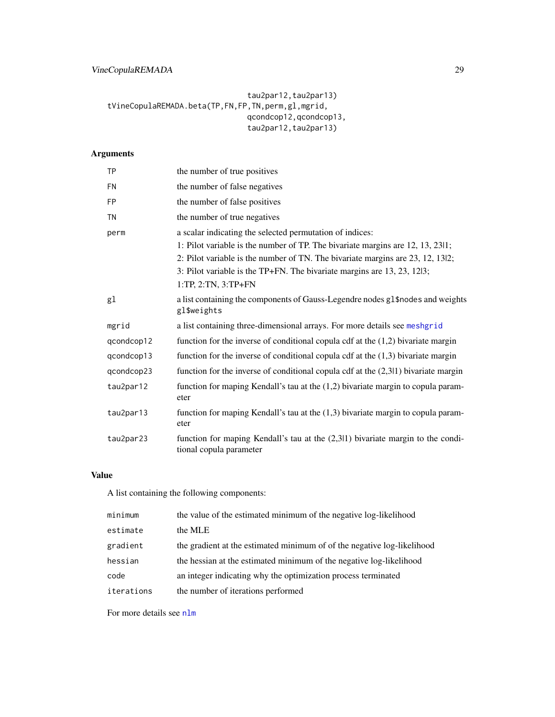```
tau2par12,tau2par13)
tVineCopulaREMADA.beta(TP,FN,FP,TN,perm,gl,mgrid,
                               qcondcop12,qcondcop13,
                               tau2par12,tau2par13)
```
# Arguments

| <b>TP</b>  | the number of true positives                                                                                 |
|------------|--------------------------------------------------------------------------------------------------------------|
| <b>FN</b>  | the number of false negatives                                                                                |
| <b>FP</b>  | the number of false positives                                                                                |
| <b>TN</b>  | the number of true negatives                                                                                 |
| perm       | a scalar indicating the selected permutation of indices:                                                     |
|            | 1: Pilot variable is the number of TP. The bivariate margins are 12, 13, 2311;                               |
|            | 2: Pilot variable is the number of TN. The bivariate margins are 23, 12, 13l2;                               |
|            | 3: Pilot variable is the TP+FN. The bivariate margins are 13, 23, 12l3;                                      |
|            | 1:TP, 2:TN, 3:TP+FN                                                                                          |
| gl         | a list containing the components of Gauss-Legendre nodes gl\$nodes and weights<br>gl\$weights                |
| mgrid      | a list containing three-dimensional arrays. For more details see meshgrid                                    |
| qcondcop12 | function for the inverse of conditional copula cdf at the $(1,2)$ bivariate margin                           |
| qcondcop13 | function for the inverse of conditional copula cdf at the $(1,3)$ bivariate margin                           |
| qcondcop23 | function for the inverse of conditional copula cdf at the $(2,311)$ bivariate margin                         |
| tau2par12  | function for maping Kendall's tau at the $(1,2)$ bivariate margin to copula param-<br>eter                   |
| tau2par13  | function for maping Kendall's tau at the $(1,3)$ bivariate margin to copula param-<br>eter                   |
| tau2par23  | function for maping Kendall's tau at the $(2,311)$ bivariate margin to the condi-<br>tional copula parameter |

#### Value

A list containing the following components:

| minimum    | the value of the estimated minimum of the negative log-likelihood       |
|------------|-------------------------------------------------------------------------|
| estimate   | the MLE                                                                 |
| gradient   | the gradient at the estimated minimum of of the negative log-likelihood |
| hessian    | the hessian at the estimated minimum of the negative log-likelihood     |
| code       | an integer indicating why the optimization process terminated           |
| iterations | the number of iterations performed                                      |

For more details see [nlm](#page-0-0)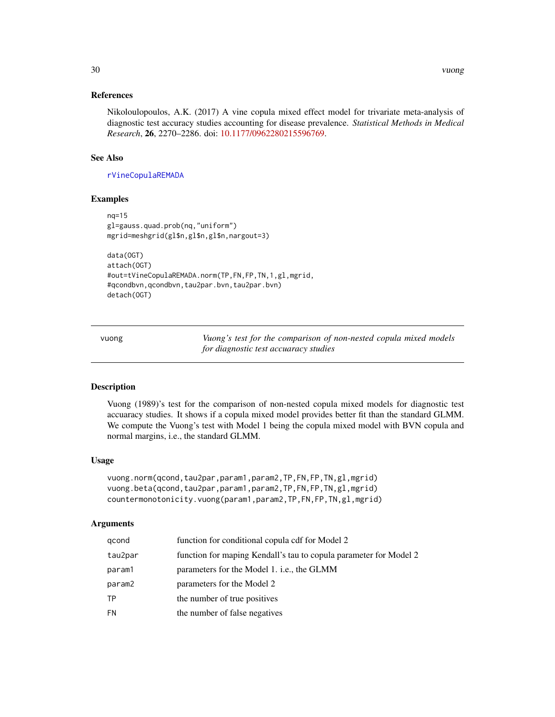## <span id="page-29-0"></span>References

Nikoloulopoulos, A.K. (2017) A vine copula mixed effect model for trivariate meta-analysis of diagnostic test accuracy studies accounting for disease prevalence. *Statistical Methods in Medical Research*, 26, 2270–2286. doi: [10.1177/0962280215596769.](http://doi.org/10.1177/0962280215596769)

#### See Also

[rVineCopulaREMADA](#page-20-1)

#### Examples

```
nq=15
gl=gauss.quad.prob(nq,"uniform")
mgrid=meshgrid(gl$n,gl$n,gl$n,nargout=3)
```

```
data(OGT)
attach(OGT)
#out=tVineCopulaREMADA.norm(TP,FN,FP,TN,1,gl,mgrid,
#qcondbvn,qcondbvn,tau2par.bvn,tau2par.bvn)
detach(OGT)
```
vuong *Vuong's test for the comparison of non-nested copula mixed models for diagnostic test accuaracy studies*

#### Description

Vuong (1989)'s test for the comparison of non-nested copula mixed models for diagnostic test accuaracy studies. It shows if a copula mixed model provides better fit than the standard GLMM. We compute the Vuong's test with Model 1 being the copula mixed model with BVN copula and normal margins, i.e., the standard GLMM.

# Usage

```
vuong.norm(qcond,tau2par,param1,param2,TP,FN,FP,TN,gl,mgrid)
vuong.beta(qcond,tau2par,param1,param2,TP,FN,FP,TN,gl,mgrid)
countermonotonicity.vuong(param1,param2,TP,FN,FP,TN,gl,mgrid)
```
#### Arguments

| qcond   | function for conditional copula cdf for Model 2                   |
|---------|-------------------------------------------------------------------|
| tau2par | function for maping Kendall's tau to copula parameter for Model 2 |
| param1  | parameters for the Model 1. <i>i.e.</i> , the GLMM                |
| param2  | parameters for the Model 2                                        |
| ТP      | the number of true positives                                      |
| FN      | the number of false negatives                                     |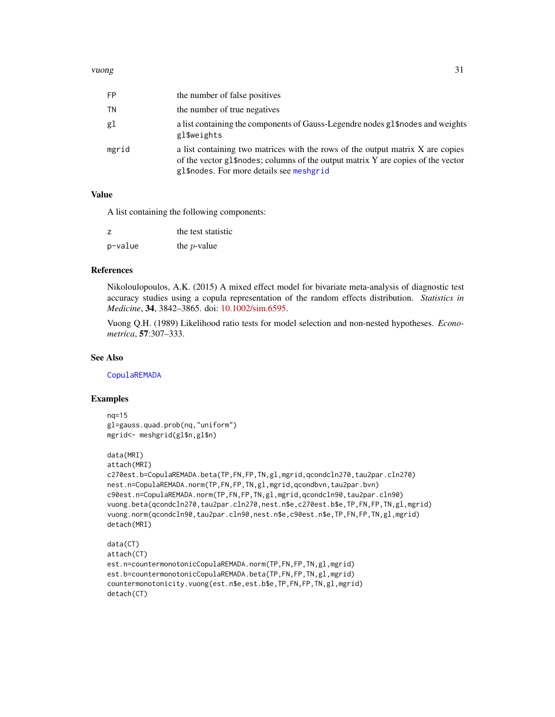#### <span id="page-30-0"></span>vuong 31

| FP    | the number of false positives                                                                                                                                                                                  |
|-------|----------------------------------------------------------------------------------------------------------------------------------------------------------------------------------------------------------------|
| ΤN    | the number of true negatives                                                                                                                                                                                   |
| gl    | a list containing the components of Gauss-Legendre nodes g1\$ nodes and weights<br>gl\$weights                                                                                                                 |
| mgrid | a list containing two matrices with the rows of the output matrix X are copies<br>of the vector gl\$nodes; columns of the output matrix Y are copies of the vector<br>gl\$nodes. For more details see meshgrid |

# Value

A list containing the following components:

| z.      | the test statistic |
|---------|--------------------|
| p-value | the $p$ -value     |

#### References

Nikoloulopoulos, A.K. (2015) A mixed effect model for bivariate meta-analysis of diagnostic test accuracy studies using a copula representation of the random effects distribution. *Statistics in Medicine*, 34, 3842–3865. doi: [10.1002/sim.6595.](http://doi.org/10.1002/sim.6595)

Vuong Q.H. (1989) Likelihood ratio tests for model selection and non-nested hypotheses. *Econometrica*, 57:307–333.

# See Also

[CopulaREMADA](#page-3-1)

#### Examples

```
nq=15
```

```
gl=gauss.quad.prob(nq,"uniform")
mgrid<- meshgrid(gl$n,gl$n)
```

```
data(MRI)
```

```
attach(MRI)
```

```
c270est.b=CopulaREMADA.beta(TP,FN,FP,TN,gl,mgrid,qcondcln270,tau2par.cln270)
nest.n=CopulaREMADA.norm(TP,FN,FP,TN,gl,mgrid,qcondbvn,tau2par.bvn)
c90est.n=CopulaREMADA.norm(TP,FN,FP,TN,gl,mgrid,qcondcln90,tau2par.cln90)
vuong.beta(qcondcln270,tau2par.cln270,nest.n$e,c270est.b$e,TP,FN,FP,TN,gl,mgrid)
vuong.norm(qcondcln90,tau2par.cln90,nest.n$e,c90est.n$e,TP,FN,FP,TN,gl,mgrid)
detach(MRI)
```

```
data(CT)
attach(CT)
est.n=countermonotonicCopulaREMADA.norm(TP,FN,FP,TN,gl,mgrid)
est.b=countermonotonicCopulaREMADA.beta(TP,FN,FP,TN,gl,mgrid)
countermonotonicity.vuong(est.n$e,est.b$e,TP,FN,FP,TN,gl,mgrid)
detach(CT)
```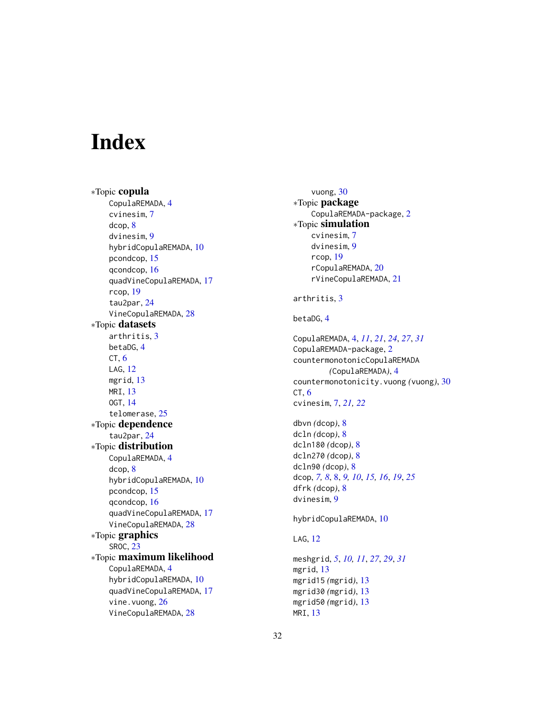# <span id="page-31-0"></span>**Index**

∗Topic copula CopulaREMADA, [4](#page-3-0) cvinesim, [7](#page-6-0) dcop, [8](#page-7-0) dvinesim, [9](#page-8-0) hybridCopulaREMADA, [10](#page-9-0) pcondcop, [15](#page-14-0) qcondcop, [16](#page-15-0) quadVineCopulaREMADA, [17](#page-16-0) rcop, [19](#page-18-0) tau2par, [24](#page-23-0) VineCopulaREMADA, [28](#page-27-0) ∗Topic datasets arthritis, [3](#page-2-0) betaDG, [4](#page-3-0)  $CT, 6$  $CT, 6$ LAG, [12](#page-11-0) mgrid, [13](#page-12-0) MRI, [13](#page-12-0) OGT, [14](#page-13-0) telomerase, [25](#page-24-0) ∗Topic dependence tau2par, [24](#page-23-0) ∗Topic distribution CopulaREMADA, [4](#page-3-0) dcop, [8](#page-7-0) hybridCopulaREMADA, [10](#page-9-0) pcondcop, [15](#page-14-0) qcondcop, [16](#page-15-0) quadVineCopulaREMADA, [17](#page-16-0) VineCopulaREMADA, [28](#page-27-0) ∗Topic graphics SROC, [23](#page-22-0) ∗Topic maximum likelihood CopulaREMADA, [4](#page-3-0) hybridCopulaREMADA, [10](#page-9-0) quadVineCopulaREMADA, [17](#page-16-0) vine.vuong, [26](#page-25-0) VineCopulaREMADA, [28](#page-27-0)

vuong, [30](#page-29-0) ∗Topic package CopulaREMADA-package, [2](#page-1-0) ∗Topic simulation cvinesim, [7](#page-6-0) dvinesim, [9](#page-8-0) rcop, [19](#page-18-0) rCopulaREMADA, [20](#page-19-0) rVineCopulaREMADA, [21](#page-20-0) arthritis, [3](#page-2-0) betaDG, [4](#page-3-0) CopulaREMADA, [4,](#page-3-0) *[11](#page-10-0)*, *[21](#page-20-0)*, *[24](#page-23-0)*, *[27](#page-26-0)*, *[31](#page-30-0)* CopulaREMADA-package, [2](#page-1-0) countermonotonicCopulaREMADA *(*CopulaREMADA*)*, [4](#page-3-0) countermonotonicity.vuong *(*vuong*)*, [30](#page-29-0)  $CT, 6$  $CT, 6$ cvinesim, [7,](#page-6-0) *[21,](#page-20-0) [22](#page-21-0)* dbvn *(*dcop*)*, [8](#page-7-0) dcln *(*dcop*)*, [8](#page-7-0) dcln180 *(*dcop*)*, [8](#page-7-0) dcln270 *(*dcop*)*, [8](#page-7-0) dcln90 *(*dcop*)*, [8](#page-7-0) dcop, *[7,](#page-6-0) [8](#page-7-0)*, [8,](#page-7-0) *[9,](#page-8-0) [10](#page-9-0)*, *[15,](#page-14-0) [16](#page-15-0)*, *[19](#page-18-0)*, *[25](#page-24-0)* dfrk *(*dcop*)*, [8](#page-7-0) dvinesim, [9](#page-8-0) hybridCopulaREMADA, [10](#page-9-0) LAG, [12](#page-11-0) meshgrid, *[5](#page-4-0)*, *[10,](#page-9-0) [11](#page-10-0)*, *[27](#page-26-0)*, *[29](#page-28-0)*, *[31](#page-30-0)* mgrid, [13](#page-12-0) mgrid15 *(*mgrid*)*, [13](#page-12-0) mgrid30 *(*mgrid*)*, [13](#page-12-0) mgrid50 *(*mgrid*)*, [13](#page-12-0) MRI, [13](#page-12-0)